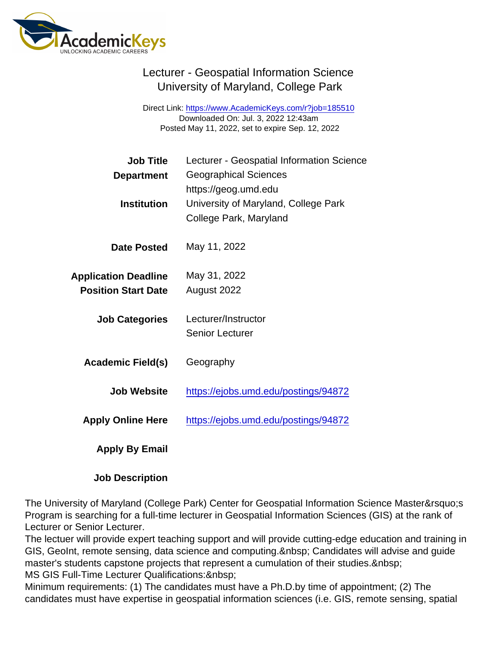## Lecturer - Geospatial Information Science University of Maryland, College Park

Direct Link: <https://www.AcademicKeys.com/r?job=185510> Downloaded On: Jul. 3, 2022 12:43am Posted May 11, 2022, set to expire Sep. 12, 2022

| <b>Job Title</b>                                          | Lecturer - Geospatial Information Science |
|-----------------------------------------------------------|-------------------------------------------|
| Department                                                | <b>Geographical Sciences</b>              |
|                                                           | https://geog.umd.edu                      |
| Institution                                               | University of Maryland, College Park      |
|                                                           | College Park, Maryland                    |
| Date Posted                                               | May 11, 2022                              |
|                                                           | May 31, 2022                              |
| <b>Application Deadline</b><br><b>Position Start Date</b> | August 2022                               |
|                                                           |                                           |
| <b>Job Categories</b>                                     | Lecturer/Instructor                       |
|                                                           | <b>Senior Lecturer</b>                    |
| Academic Field(s)                                         | Geography                                 |
|                                                           |                                           |
| Job Website                                               | https://ejobs.umd.edu/postings/94872      |
| <b>Apply Online Here</b>                                  | https://ejobs.umd.edu/postings/94872      |
|                                                           |                                           |
| Apply By Email                                            |                                           |
|                                                           |                                           |

Job Description

The University of Maryland (College Park) Center for Geospatial Information Science Master's Program is searching for a full-time lecturer in Geospatial Information Sciences (GIS) at the rank of Lecturer or Senior Lecturer.

The lectuer will provide expert teaching support and will provide cutting-edge education and training in GIS, GeoInt, remote sensing, data science and computing. & nbsp; Candidates will advise and guide master's students capstone projects that represent a cumulation of their studies. MS GIS Full-Time Lecturer Qualifications: & nbsp:

Minimum requirements: (1) The candidates must have a Ph.D.by time of appointment; (2) The candidates must have expertise in geospatial information sciences (i.e. GIS, remote sensing, spatial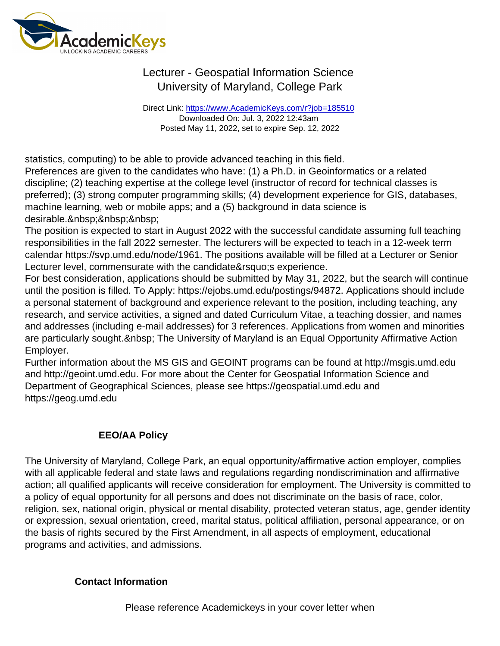## Lecturer - Geospatial Information Science University of Maryland, College Park

Direct Link: <https://www.AcademicKeys.com/r?job=185510> Downloaded On: Jul. 3, 2022 12:43am Posted May 11, 2022, set to expire Sep. 12, 2022

statistics, computing) to be able to provide advanced teaching in this field.

Preferences are given to the candidates who have: (1) a Ph.D. in Geoinformatics or a related discipline; (2) teaching expertise at the college level (instructor of record for technical classes is preferred); (3) strong computer programming skills; (4) development experience for GIS, databases, machine learning, web or mobile apps; and a (5) background in data science is desirable.

The position is expected to start in August 2022 with the successful candidate assuming full teaching responsibilities in the fall 2022 semester. The lecturers will be expected to teach in a 12-week term calendar https://svp.umd.edu/node/1961. The positions available will be filled at a Lecturer or Senior Lecturer level, commensurate with the candidate' sexperience.

For best consideration, applications should be submitted by May 31, 2022, but the search will continue until the position is filled. To Apply: https://ejobs.umd.edu/postings/94872. Applications should include a personal statement of background and experience relevant to the position, including teaching, any research, and service activities, a signed and dated Curriculum Vitae, a teaching dossier, and names and addresses (including e-mail addresses) for 3 references. Applications from women and minorities are particularly sought. The University of Maryland is an Equal Opportunity Affirmative Action Employer.

Further information about the MS GIS and GEOINT programs can be found at http://msgis.umd.edu and http://geoint.umd.edu. For more about the Center for Geospatial Information Science and Department of Geographical Sciences, please see https://geospatial.umd.edu and https://geog.umd.edu

## EEO/AA Policy

The University of Maryland, College Park, an equal opportunity/affirmative action employer, complies with all applicable federal and state laws and regulations regarding nondiscrimination and affirmative action; all qualified applicants will receive consideration for employment. The University is committed to a policy of equal opportunity for all persons and does not discriminate on the basis of race, color, religion, sex, national origin, physical or mental disability, protected veteran status, age, gender identity or expression, sexual orientation, creed, marital status, political affiliation, personal appearance, or on the basis of rights secured by the First Amendment, in all aspects of employment, educational programs and activities, and admissions.

Contact Information